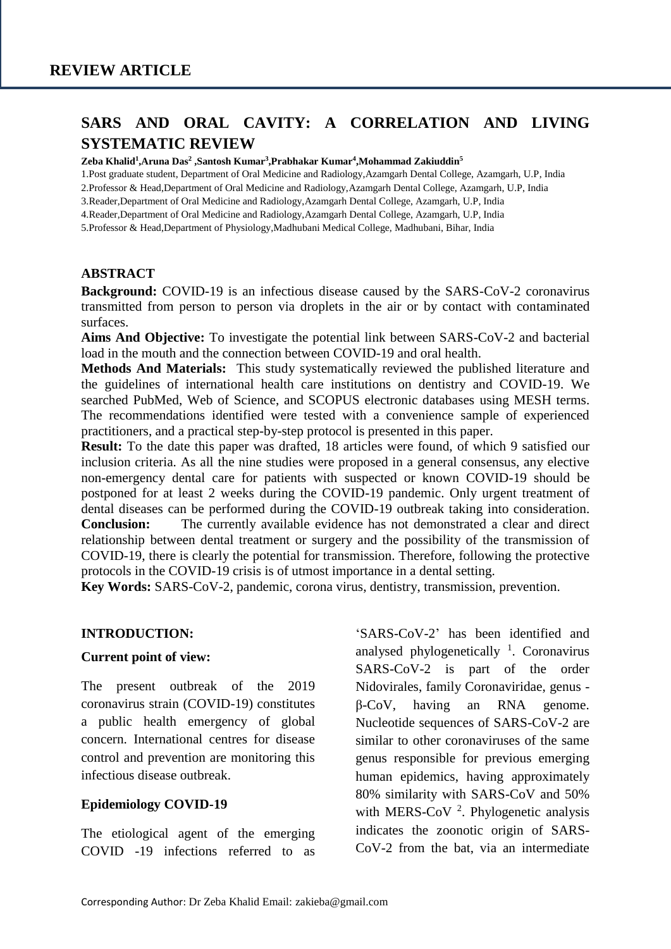# **SARS AND ORAL CAVITY: A CORRELATION AND LIVING SYSTEMATIC REVIEW**

#### **Zeba Khalid<sup>1</sup> ,Aruna Das<sup>2</sup> ,Santosh Kumar<sup>3</sup> ,Prabhakar Kumar<sup>4</sup> ,Mohammad Zakiuddin<sup>5</sup>**

1.Post graduate student, Department of Oral Medicine and Radiology,Azamgarh Dental College, Azamgarh, U.P, India

2.Professor & Head,Department of Oral Medicine and Radiology,Azamgarh Dental College, Azamgarh, U.P, India

3.Reader,Department of Oral Medicine and Radiology,Azamgarh Dental College, Azamgarh, U.P, India

4.Reader,Department of Oral Medicine and Radiology,Azamgarh Dental College, Azamgarh, U.P, India

5.Professor & Head,Department of Physiology,Madhubani Medical College, Madhubani, Bihar, India

#### **ABSTRACT**

**Background:** COVID-19 is an infectious disease caused by the SARS-CoV-2 coronavirus transmitted from person to person via droplets in the air or by contact with contaminated surfaces.

**Aims And Objective:** To investigate the potential link between SARS-CoV-2 and bacterial load in the mouth and the connection between COVID-19 and oral health.

**Methods And Materials:** This study systematically reviewed the published literature and the guidelines of international health care institutions on dentistry and COVID-19. We searched PubMed, Web of Science, and SCOPUS electronic databases using MESH terms. The recommendations identified were tested with a convenience sample of experienced practitioners, and a practical step-by-step protocol is presented in this paper.

**Result:** To the date this paper was drafted, 18 articles were found, of which 9 satisfied our inclusion criteria. As all the nine studies were proposed in a general consensus, any elective non-emergency dental care for patients with suspected or known COVID-19 should be postponed for at least 2 weeks during the COVID-19 pandemic. Only urgent treatment of dental diseases can be performed during the COVID-19 outbreak taking into consideration. **Conclusion:** The currently available evidence has not demonstrated a clear and direct relationship between dental treatment or surgery and the possibility of the transmission of COVID-19, there is clearly the potential for transmission. Therefore, following the protective protocols in the COVID-19 crisis is of utmost importance in a dental setting.

**Key Words:** SARS-CoV-2, pandemic, corona virus, dentistry, transmission, prevention.

#### **INTRODUCTION:**

#### **Current point of view:**

The present outbreak of the 2019 coronavirus strain (COVID-19) constitutes a public health emergency of global concern. International centres for disease control and prevention are monitoring this infectious disease outbreak.

#### **Epidemiology COVID-19**

The etiological agent of the emerging COVID -19 infections referred to as 'SARS-CoV-2' has been identified and analysed phylogenetically  $1$ . Coronavirus SARS-CoV-2 is part of the order Nidovirales, family Coronaviridae, genus β-CoV, having an RNA genome. Nucleotide sequences of SARS-CoV-2 are similar to other coronaviruses of the same genus responsible for previous emerging human epidemics, having approximately 80% similarity with SARS-CoV and 50% with MERS-CoV  $2$ . Phylogenetic analysis indicates the zoonotic origin of SARS-CoV-2 from the bat, via an intermediate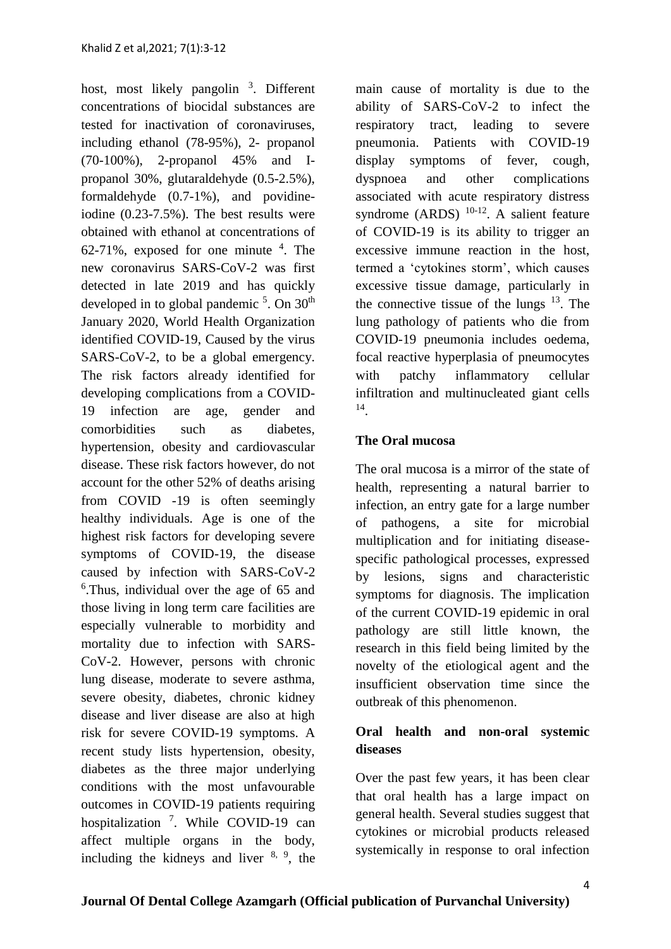host, most likely pangolin<sup>3</sup>. Different concentrations of biocidal substances are tested for inactivation of coronaviruses, including ethanol (78-95%), 2- propanol (70-100%), 2-propanol 45% and Ipropanol 30%, glutaraldehyde (0.5-2.5%), formaldehyde (0.7-1%), and povidineiodine (0.23-7.5%). The best results were obtained with ethanol at concentrations of  $62-71\%$ , exposed for one minute  $4$ . The new coronavirus SARS-CoV-2 was first detected in late 2019 and has quickly developed in to global pandemic  $5$ . On  $30<sup>th</sup>$ January 2020, World Health Organization identified COVID-19, Caused by the virus SARS-CoV-2, to be a global emergency. The risk factors already identified for developing complications from a COVID-19 infection are age, gender and comorbidities such as diabetes, hypertension, obesity and cardiovascular disease. These risk factors however, do not account for the other 52% of deaths arising from COVID -19 is often seemingly healthy individuals. Age is one of the highest risk factors for developing severe symptoms of COVID-19, the disease caused by infection with SARS-CoV-2 6 .Thus, individual over the age of 65 and those living in long term care facilities are especially vulnerable to morbidity and mortality due to infection with SARS-CoV-2. However, persons with chronic lung disease, moderate to severe asthma, severe obesity, diabetes, chronic kidney disease and liver disease are also at high risk for severe COVID-19 symptoms. A recent study lists hypertension, obesity, diabetes as the three major underlying conditions with the most unfavourable outcomes in COVID-19 patients requiring hospitalization<sup>7</sup>. While COVID-19 can affect multiple organs in the body, including the kidneys and liver  $8, 9$ , the main cause of mortality is due to the ability of SARS-CoV-2 to infect the respiratory tract, leading to severe pneumonia. Patients with COVID-19 display symptoms of fever, cough, dyspnoea and other complications associated with acute respiratory distress syndrome (ARDS)  $10-12$ . A salient feature of COVID-19 is its ability to trigger an excessive immune reaction in the host, termed a 'cytokines storm', which causes excessive tissue damage, particularly in the connective tissue of the lungs  $13$ . The lung pathology of patients who die from COVID-19 pneumonia includes oedema, focal reactive hyperplasia of pneumocytes with patchy inflammatory cellular infiltration and multinucleated giant cells 14 .

### **The Oral mucosa**

The oral mucosa is a mirror of the state of health, representing a natural barrier to infection, an entry gate for a large number of pathogens, a site for microbial multiplication and for initiating diseasespecific pathological processes, expressed by lesions, signs and characteristic symptoms for diagnosis. The implication of the current COVID-19 epidemic in oral pathology are still little known, the research in this field being limited by the novelty of the etiological agent and the insufficient observation time since the outbreak of this phenomenon.

## **Oral health and non-oral systemic diseases**

Over the past few years, it has been clear that oral health has a large impact on general health. Several studies suggest that cytokines or microbial products released systemically in response to oral infection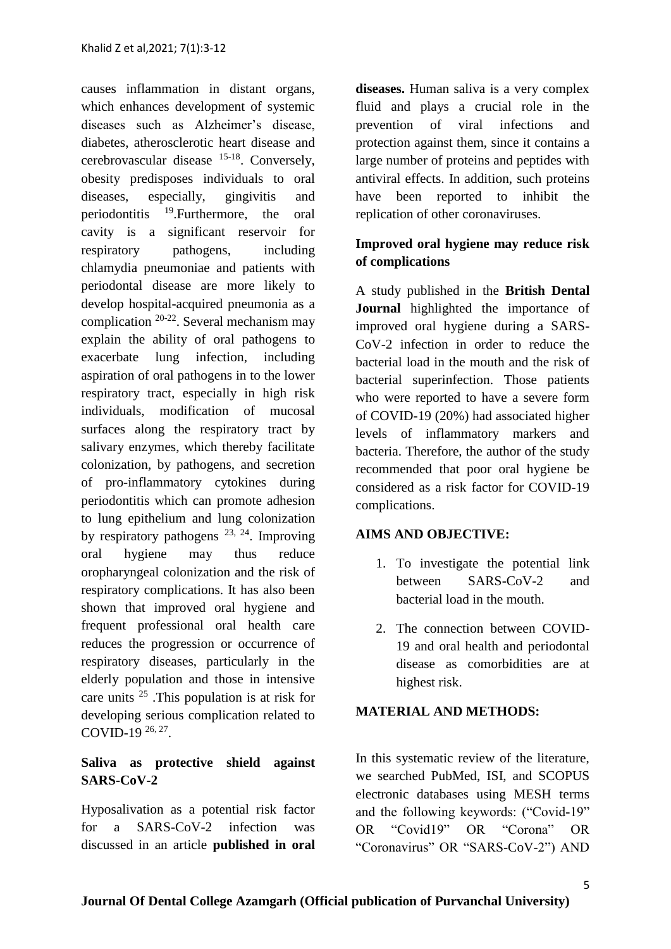causes inflammation in distant organs, which enhances development of systemic diseases such as Alzheimer's disease, diabetes, atherosclerotic heart disease and cerebrovascular disease <sup>15-18</sup>. Conversely, obesity predisposes individuals to oral diseases, especially, gingivitis and periodontitis  $19$ . Furthermore, the oral cavity is a significant reservoir for respiratory pathogens, including chlamydia pneumoniae and patients with periodontal disease are more likely to develop hospital-acquired pneumonia as a complication  $20-22$ . Several mechanism may explain the ability of oral pathogens to exacerbate lung infection, including aspiration of oral pathogens in to the lower respiratory tract, especially in high risk individuals, modification of mucosal surfaces along the respiratory tract by salivary enzymes, which thereby facilitate colonization, by pathogens, and secretion of pro-inflammatory cytokines during periodontitis which can promote adhesion to lung epithelium and lung colonization by respiratory pathogens  $^{23, 24}$ . Improving oral hygiene may thus reduce oropharyngeal colonization and the risk of respiratory complications. It has also been shown that improved oral hygiene and frequent professional oral health care reduces the progression or occurrence of respiratory diseases, particularly in the elderly population and those in intensive care units <sup>25</sup> .This population is at risk for developing serious complication related to COVID-19  $^{26, 27}$ .

## **Saliva as protective shield against SARS-CoV-2**

Hyposalivation as a potential risk factor for a SARS-CoV-2 infection was discussed in an article **published in oral**  **diseases.** Human saliva is a very complex fluid and plays a crucial role in the prevention of viral infections and protection against them, since it contains a large number of proteins and peptides with antiviral effects. In addition, such proteins have been reported to inhibit the replication of other coronaviruses.

## **Improved oral hygiene may reduce risk of complications**

A study published in the **British Dental Journal** highlighted the importance of improved oral hygiene during a SARS-CoV-2 infection in order to reduce the bacterial load in the mouth and the risk of bacterial superinfection. Those patients who were reported to have a severe form of COVID-19 (20%) had associated higher levels of inflammatory markers and bacteria. Therefore, the author of the study recommended that poor oral hygiene be considered as a risk factor for COVID-19 complications.

## **AIMS AND OBJECTIVE:**

- 1. To investigate the potential link between SARS-CoV-2 and bacterial load in the mouth.
- 2. The connection between COVID-19 and oral health and periodontal disease as comorbidities are at highest risk.

## **MATERIAL AND METHODS:**

In this systematic review of the literature, we searched PubMed, ISI, and SCOPUS electronic databases using MESH terms and the following keywords: ("Covid-19" OR "Covid19" OR "Corona" OR "Coronavirus" OR "SARS-CoV-2") AND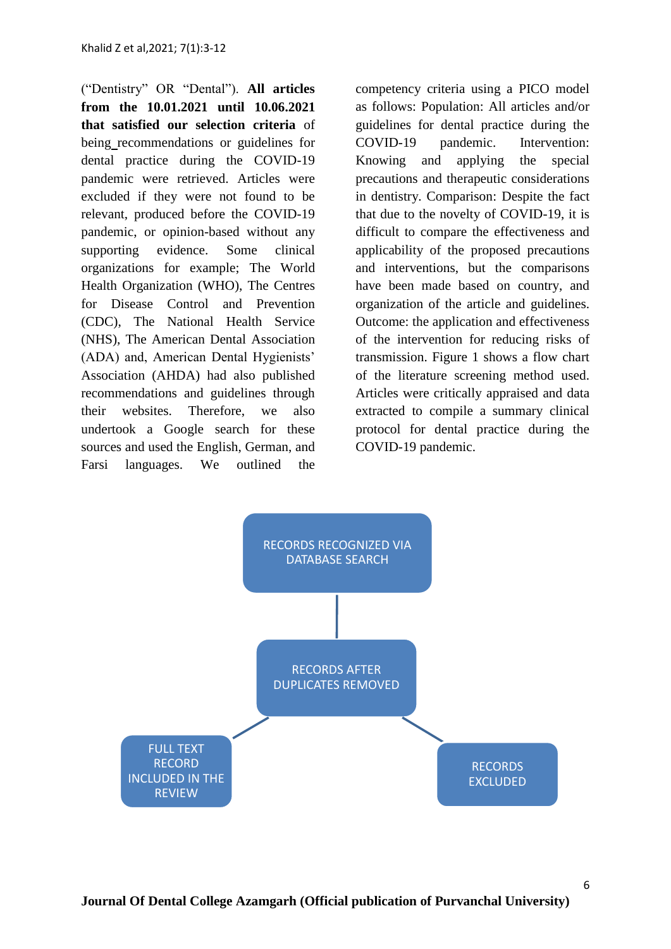("Dentistry" OR "Dental"). **All articles from the 10.01.2021 until 10.06.2021 that satisfied our selection criteria** of being recommendations or guidelines for dental practice during the COVID-19 pandemic were retrieved. Articles were excluded if they were not found to be relevant, produced before the COVID-19 pandemic, or opinion-based without any supporting evidence. Some clinical organizations for example; The World Health Organization (WHO), The Centres for Disease Control and Prevention (CDC), The National Health Service (NHS), The American Dental Association (ADA) and, American Dental Hygienists' Association (AHDA) had also published recommendations and guidelines through their websites. Therefore, we also undertook a Google search for these sources and used the English, German, and Farsi languages. We outlined the

competency criteria using a PICO model as follows: Population: All articles and/or guidelines for dental practice during the COVID-19 pandemic. Intervention: Knowing and applying the special precautions and therapeutic considerations in dentistry. Comparison: Despite the fact that due to the novelty of COVID-19, it is difficult to compare the effectiveness and applicability of the proposed precautions and interventions, but the comparisons have been made based on country, and organization of the article and guidelines. Outcome: the application and effectiveness of the intervention for reducing risks of transmission. Figure 1 shows a flow chart of the literature screening method used. Articles were critically appraised and data extracted to compile a summary clinical protocol for dental practice during the COVID-19 pandemic.

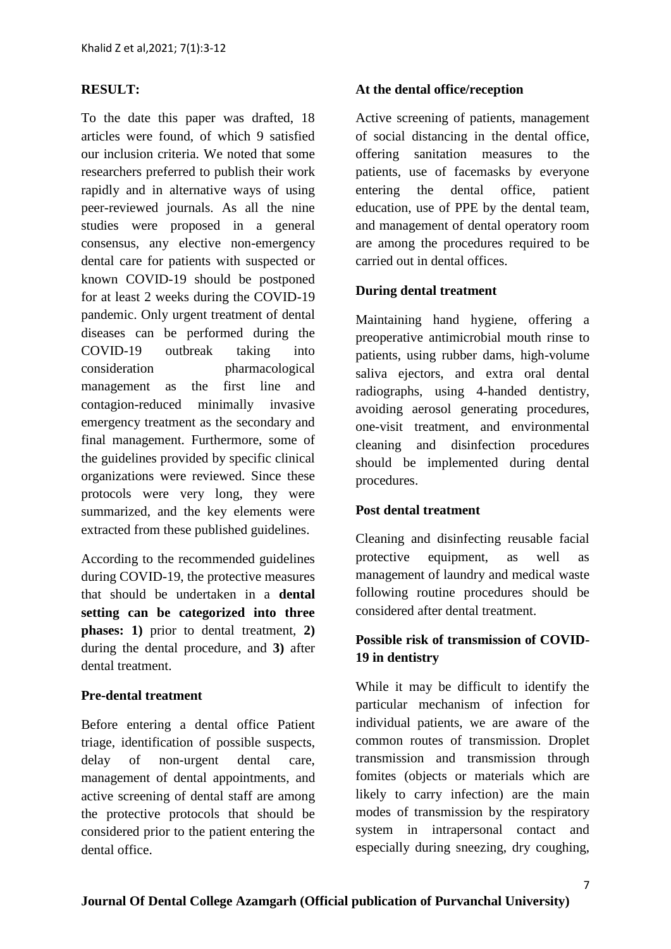### **RESULT:**

To the date this paper was drafted, 18 articles were found, of which 9 satisfied our inclusion criteria. We noted that some researchers preferred to publish their work rapidly and in alternative ways of using peer-reviewed journals. As all the nine studies were proposed in a general consensus, any elective non-emergency dental care for patients with suspected or known COVID-19 should be postponed for at least 2 weeks during the COVID-19 pandemic. Only urgent treatment of dental diseases can be performed during the COVID-19 outbreak taking into consideration pharmacological management as the first line and contagion-reduced minimally invasive emergency treatment as the secondary and final management. Furthermore, some of the guidelines provided by specific clinical organizations were reviewed. Since these protocols were very long, they were summarized, and the key elements were extracted from these published guidelines.

According to the recommended guidelines during COVID-19, the protective measures that should be undertaken in a **dental setting can be categorized into three phases: 1)** prior to dental treatment, **2)** during the dental procedure, and **3)** after dental treatment.

### **Pre-dental treatment**

Before entering a dental office Patient triage, identification of possible suspects, delay of non-urgent dental care, management of dental appointments, and active screening of dental staff are among the protective protocols that should be considered prior to the patient entering the dental office.

### **At the dental office/reception**

Active screening of patients, management of social distancing in the dental office, offering sanitation measures to the patients, use of facemasks by everyone entering the dental office, patient education, use of PPE by the dental team, and management of dental operatory room are among the procedures required to be carried out in dental offices.

### **During dental treatment**

Maintaining hand hygiene, offering a preoperative antimicrobial mouth rinse to patients, using rubber dams, high-volume saliva ejectors, and extra oral dental radiographs, using 4-handed dentistry, avoiding aerosol generating procedures, one-visit treatment, and environmental cleaning and disinfection procedures should be implemented during dental procedures.

#### **Post dental treatment**

Cleaning and disinfecting reusable facial protective equipment, as well as management of laundry and medical waste following routine procedures should be considered after dental treatment.

## **Possible risk of transmission of COVID-19 in dentistry**

While it may be difficult to identify the particular mechanism of infection for individual patients, we are aware of the common routes of transmission. Droplet transmission and transmission through fomites (objects or materials which are likely to carry infection) are the main modes of transmission by the respiratory system in intrapersonal contact and especially during sneezing, dry coughing,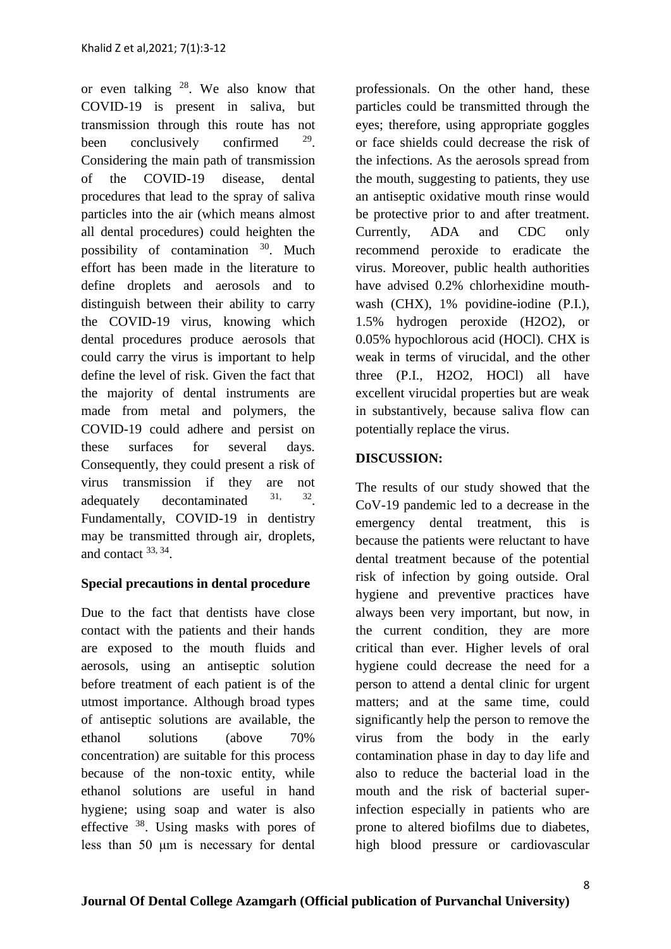or even talking  $28$ . We also know that COVID-19 is present in saliva, but transmission through this route has not been conclusively confirmed . Considering the main path of transmission of the COVID-19 disease, dental procedures that lead to the spray of saliva particles into the air (which means almost all dental procedures) could heighten the possibility of contamination  $30$ . Much effort has been made in the literature to define droplets and aerosols and to distinguish between their ability to carry the COVID-19 virus, knowing which dental procedures produce aerosols that could carry the virus is important to help define the level of risk. Given the fact that the majority of dental instruments are made from metal and polymers, the COVID-19 could adhere and persist on these surfaces for several days. Consequently, they could present a risk of virus transmission if they are not adequately decontaminated  $31$ , 32 Fundamentally, COVID-19 in dentistry may be transmitted through air, droplets, and contact <sup>33, 34</sup>.

## **Special precautions in dental procedure**

Due to the fact that dentists have close contact with the patients and their hands are exposed to the mouth fluids and aerosols, using an antiseptic solution before treatment of each patient is of the utmost importance. Although broad types of antiseptic solutions are available, the ethanol solutions (above 70% concentration) are suitable for this process because of the non-toxic entity, while ethanol solutions are useful in hand hygiene; using soap and water is also effective <sup>38</sup>. Using masks with pores of less than 50 μm is necessary for dental professionals. On the other hand, these particles could be transmitted through the eyes; therefore, using appropriate goggles or face shields could decrease the risk of the infections. As the aerosols spread from the mouth, suggesting to patients, they use an antiseptic oxidative mouth rinse would be protective prior to and after treatment. Currently, ADA and CDC only recommend peroxide to eradicate the virus. Moreover, public health authorities have advised 0.2% chlorhexidine mouthwash (CHX), 1% povidine-iodine (P.I.), 1.5% hydrogen peroxide (H2O2), or 0.05% hypochlorous acid (HOCl). CHX is weak in terms of virucidal, and the other three (P.I., H2O2, HOCl) all have excellent virucidal properties but are weak in substantively, because saliva flow can potentially replace the virus.

## **DISCUSSION:**

The results of our study showed that the CoV-19 pandemic led to a decrease in the emergency dental treatment, this is because the patients were reluctant to have dental treatment because of the potential risk of infection by going outside. Oral hygiene and preventive practices have always been very important, but now, in the current condition, they are more critical than ever. Higher levels of oral hygiene could decrease the need for a person to attend a dental clinic for urgent matters; and at the same time, could significantly help the person to remove the virus from the body in the early contamination phase in day to day life and also to reduce the bacterial load in the mouth and the risk of bacterial superinfection especially in patients who are prone to altered biofilms due to diabetes, high blood pressure or cardiovascular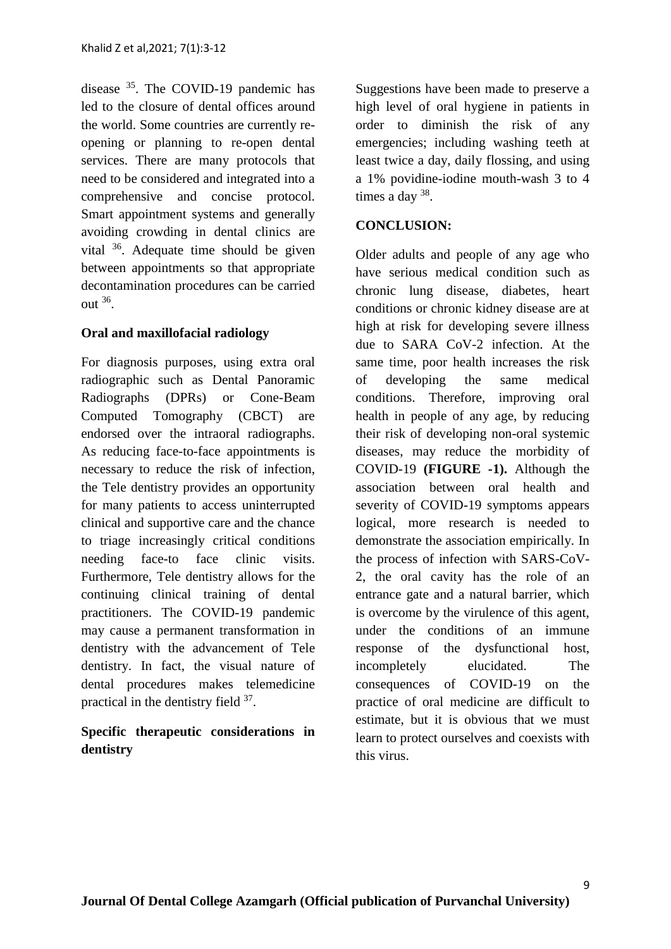disease <sup>35</sup>. The COVID-19 pandemic has led to the closure of dental offices around the world. Some countries are currently reopening or planning to re-open dental services. There are many protocols that need to be considered and integrated into a comprehensive and concise protocol. Smart appointment systems and generally avoiding crowding in dental clinics are vital <sup>36</sup>. Adequate time should be given between appointments so that appropriate decontamination procedures can be carried out  $36$ .

## **Oral and maxillofacial radiology**

For diagnosis purposes, using extra oral radiographic such as Dental Panoramic Radiographs (DPRs) or Cone-Beam Computed Tomography (CBCT) are endorsed over the intraoral radiographs. As reducing face-to-face appointments is necessary to reduce the risk of infection, the Tele dentistry provides an opportunity for many patients to access uninterrupted clinical and supportive care and the chance to triage increasingly critical conditions needing face-to face clinic visits. Furthermore, Tele dentistry allows for the continuing clinical training of dental practitioners. The COVID-19 pandemic may cause a permanent transformation in dentistry with the advancement of Tele dentistry. In fact, the visual nature of dental procedures makes telemedicine practical in the dentistry field 37.

## **Specific therapeutic considerations in dentistry**

Suggestions have been made to preserve a high level of oral hygiene in patients in order to diminish the risk of any emergencies; including washing teeth at least twice a day, daily flossing, and using a 1% povidine-iodine mouth-wash 3 to 4 times a day  $38$ .

## **CONCLUSION:**

Older adults and people of any age who have serious medical condition such as chronic lung disease, diabetes, heart conditions or chronic kidney disease are at high at risk for developing severe illness due to SARA CoV-2 infection. At the same time, poor health increases the risk of developing the same medical conditions. Therefore, improving oral health in people of any age, by reducing their risk of developing non-oral systemic diseases, may reduce the morbidity of COVID-19 **(FIGURE -1).** Although the association between oral health and severity of COVID-19 symptoms appears logical, more research is needed to demonstrate the association empirically. In the process of infection with SARS-CoV-2, the oral cavity has the role of an entrance gate and a natural barrier, which is overcome by the virulence of this agent, under the conditions of an immune response of the dysfunctional host, incompletely elucidated. The consequences of COVID-19 on the practice of oral medicine are difficult to estimate, but it is obvious that we must learn to protect ourselves and coexists with this virus.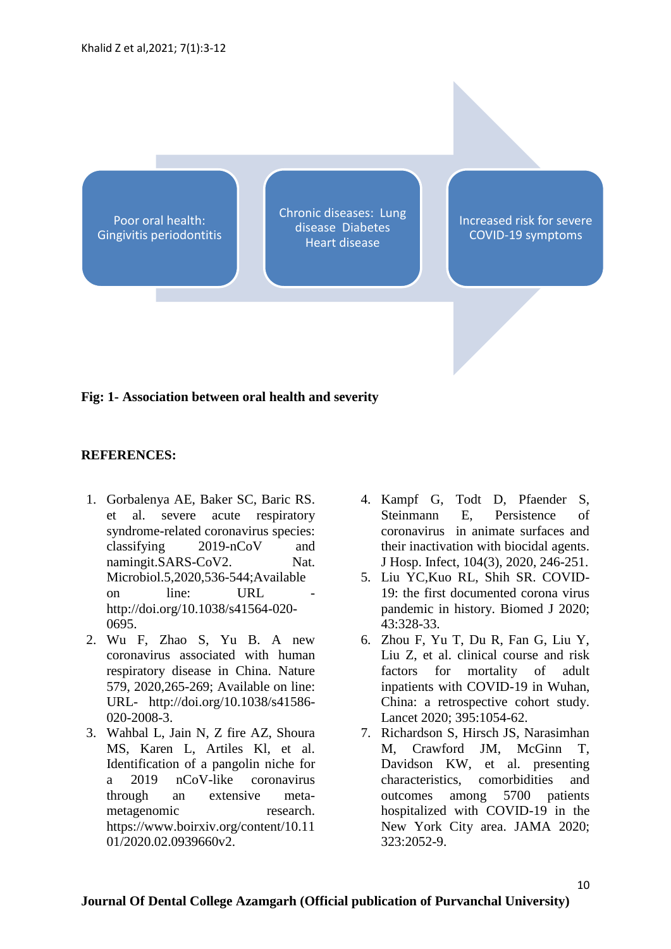Poor oral health: Gingivitis periodontitis Chronic diseases: Lung disease Diabetes Heart disease

Increased risk for severe COVID-19 symptoms

### **Fig: 1- Association between oral health and severity**

### **REFERENCES:**

- 1. Gorbalenya AE, Baker SC, Baric RS. et al. severe acute respiratory syndrome-related coronavirus species: classifying 2019-nCoV and namingit.SARS-CoV2. Nat. Microbiol.5,2020,536-544;Available on line: URL http://doi.org/10.1038/s41564-020- 0695.
- 2. Wu F, Zhao S, Yu B. A new coronavirus associated with human respiratory disease in China. Nature 579, 2020,265-269; Available on line: URL- http://doi.org/10.1038/s41586- 020-2008-3.
- 3. Wahbal L, Jain N, Z fire AZ, Shoura MS, Karen L, Artiles Kl, et al. Identification of a pangolin niche for a 2019 nCoV-like coronavirus through an extensive metametagenomic research. https://www.boirxiv.org/content/10.11 01/2020.02.0939660v2.
- 4. Kampf G, Todt D, Pfaender S, Steinmann E, Persistence of coronavirus in animate surfaces and their inactivation with biocidal agents. J Hosp. Infect, 104(3), 2020, 246-251.
- 5. Liu YC,Kuo RL, Shih SR. COVID-19: the first documented corona virus pandemic in history. Biomed J 2020; 43:328-33.
- 6. Zhou F, Yu T, Du R, Fan G, Liu Y, Liu Z, et al. clinical course and risk factors for mortality of adult inpatients with COVID-19 in Wuhan, China: a retrospective cohort study. Lancet 2020; 395:1054-62.
- 7. Richardson S, Hirsch JS, Narasimhan M, Crawford JM, McGinn T, Davidson KW, et al. presenting characteristics, comorbidities and outcomes among 5700 patients hospitalized with COVID-19 in the New York City area. JAMA 2020; 323:2052-9.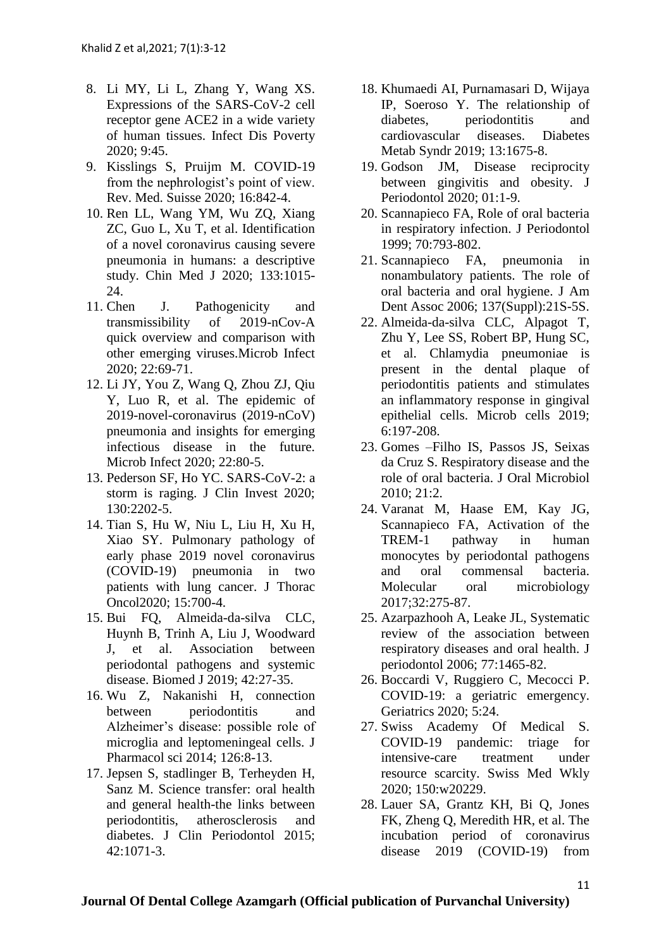- 8. Li MY, Li L, Zhang Y, Wang XS. Expressions of the SARS-CoV-2 cell receptor gene ACE2 in a wide variety of human tissues. Infect Dis Poverty 2020; 9:45.
- 9. Kisslings S, Pruijm M. COVID-19 from the nephrologist's point of view. Rev. Med. Suisse 2020; 16:842-4.
- 10. Ren LL, Wang YM, Wu ZQ, Xiang ZC, Guo L, Xu T, et al. Identification of a novel coronavirus causing severe pneumonia in humans: a descriptive study. Chin Med J 2020; 133:1015- 24.
- 11. Chen J. Pathogenicity and transmissibility of 2019-nCov-A quick overview and comparison with other emerging viruses.Microb Infect 2020; 22:69-71.
- 12. Li JY, You Z, Wang Q, Zhou ZJ, Qiu Y, Luo R, et al. The epidemic of 2019-novel-coronavirus (2019-nCoV) pneumonia and insights for emerging infectious disease in the future. Microb Infect 2020; 22:80-5.
- 13. Pederson SF, Ho YC. SARS-CoV-2: a storm is raging. J Clin Invest 2020; 130:2202-5.
- 14. Tian S, Hu W, Niu L, Liu H, Xu H, Xiao SY. Pulmonary pathology of early phase 2019 novel coronavirus (COVID-19) pneumonia in two patients with lung cancer. J Thorac Oncol2020; 15:700-4.
- 15. Bui FQ, Almeida-da-silva CLC, Huynh B, Trinh A, Liu J, Woodward J, et al. Association between periodontal pathogens and systemic disease. Biomed J 2019; 42:27-35.
- 16. Wu Z, Nakanishi H, connection between periodontitis and Alzheimer's disease: possible role of microglia and leptomeningeal cells. J Pharmacol sci 2014; 126:8-13.
- 17. Jepsen S, stadlinger B, Terheyden H, Sanz M. Science transfer: oral health and general health-the links between periodontitis, atherosclerosis and diabetes. J Clin Periodontol 2015; 42:1071-3.
- 18. Khumaedi AI, Purnamasari D, Wijaya IP, Soeroso Y. The relationship of diabetes, periodontitis and cardiovascular diseases. Diabetes Metab Syndr 2019; 13:1675-8.
- 19. Godson JM, Disease reciprocity between gingivitis and obesity. J Periodontol 2020; 01:1-9.
- 20. Scannapieco FA, Role of oral bacteria in respiratory infection. J Periodontol 1999; 70:793-802.
- 21. Scannapieco FA, pneumonia in nonambulatory patients. The role of oral bacteria and oral hygiene. J Am Dent Assoc 2006; 137(Suppl):21S-5S.
- 22. Almeida-da-silva CLC, Alpagot T, Zhu Y, Lee SS, Robert BP, Hung SC, et al. Chlamydia pneumoniae is present in the dental plaque of periodontitis patients and stimulates an inflammatory response in gingival epithelial cells. Microb cells 2019; 6:197-208.
- 23. Gomes –Filho IS, Passos JS, Seixas da Cruz S. Respiratory disease and the role of oral bacteria. J Oral Microbiol 2010; 21:2.
- 24. Varanat M, Haase EM, Kay JG, Scannapieco FA, Activation of the TREM-1 pathway in human monocytes by periodontal pathogens and oral commensal bacteria. Molecular oral microbiology 2017;32:275-87.
- 25. Azarpazhooh A, Leake JL, Systematic review of the association between respiratory diseases and oral health. J periodontol 2006; 77:1465-82.
- 26. Boccardi V, Ruggiero C, Mecocci P. COVID-19: a geriatric emergency. Geriatrics 2020; 5:24.
- 27. Swiss Academy Of Medical S. COVID-19 pandemic: triage for intensive-care treatment under resource scarcity. Swiss Med Wkly 2020; 150:w20229.
- 28. Lauer SA, Grantz KH, Bi Q, Jones FK, Zheng Q, Meredith HR, et al. The incubation period of coronavirus disease 2019 (COVID-19) from